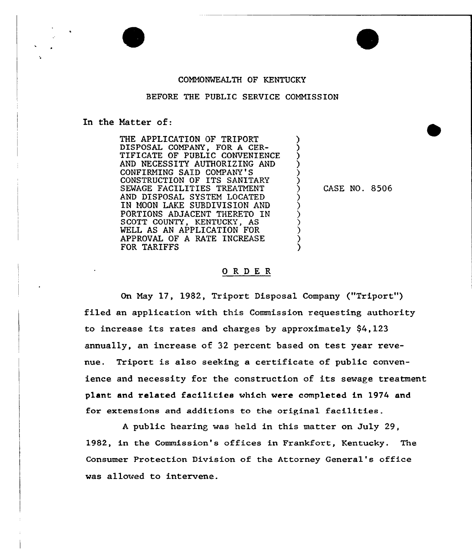#### COMMONWEALTH OF KENTUCKY

#### BEFORE THE PUBLIC SERVICE COMMISSION

) ) ) ) ) )

> ) ) ) ) ) ) )

In the Natter of:

THE APPLICATION OF TRIPORT DISPOSAL COMPANY, FOR A CER-TIFICATE OF PUBLIC CONVENIENCE AND NECESSITY AUTHORIZING AND CONFIRMING SAID COMPANY'S CONSTRUCTION OF ITS SANITARY SEWAGE FACILITIES TREATMENT AND DISPOSAL SYSTEM LOCATED IN NOON LAKE SUBDIVISION AND PORTIONS ADJACENT THERETO IN SCOTT COUNTY, KENTUCKY, AS WELL AS AN APPLICATION FOR APPROVAL OF A RATE INCREASE FOR TARIFFS

) CASE NO. 8506

#### ORDER

On May 17, 1982, Tripart Disposal Company ("Triport") filed an application with this Commission requesting authority to increase its rates and charges by approximately \$4,123 annually, an increase of 32 percent based on test year revenue. Triport is also seeking a certificate of public convenience and necessity for the construction of its sewage treatment plant and related facilities which were completed in l974 and for extensions and additions to the original facilities.

<sup>A</sup> public hearing was held in this matter on July 29, 1982, in the Commission's offices in Frankfort, Kentucky. The Consumer Protection Division of the Attorney General's office was allowed to intervene.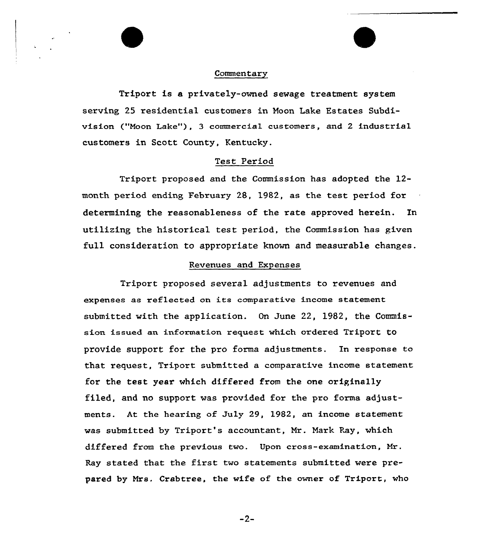### Commentary

Triport is a privately-owned sewage treatment system serving 25 residential customers in Noon Lake Estates Subdivision ("Moon Lake"), 3 commercial customers, and 2 industrial customers in Scott County, Kentucky.

### Test Period

Triport proposed and the Commission has adopted the 12 month period ending February 28, 1982, as the test period for determining the reasonableness of the rate approved herein. In utilizing the historical test period, the Commission has given full consideration to appropriate known and measurable changes.

## Revenues and Expenses

Triport proposed several adjustments to revenues and expenses as reflected on its comparative income statement submitted with the application. On June 22, 1982, the Commission issued an information request which ordered Triport to provide support for the pro forma adjustments. In response to that request, Triport submitted a comparative income statement for the test year which differed from the one originally filed, and no support was provided for the pro forms adjustments. At the hearing of July 29, 1982, an income statement was submitted by Triport's accountant, Mr. Nark Ray, which differed from the previous two. Upon cross-examination, Mr. Ray stated that the first two statements submitted were prepared by Mrs. Crabtree, the wife of the owner of Triport, who

 $-2-$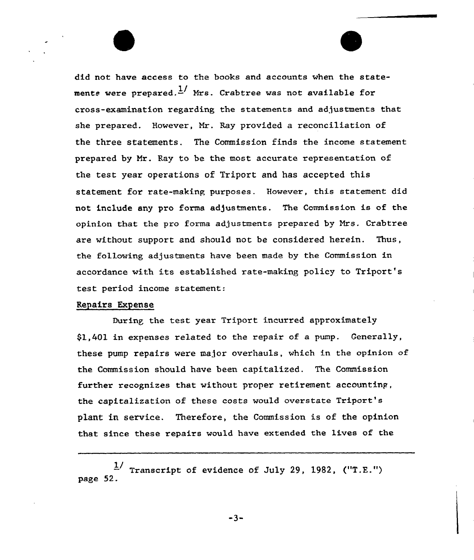did not have access to the books and accounts when the statements were prepared.  $\frac{1}{2}$  Mrs. Crabtree was not available for cross-examination regarding the statements and adjustments that she prepared. However, Mr. Ray provided a reconciliation of the three statements. The Commission finds the income statement pxepared by Mx. Ray to be the most accurate representation of the test year operations of Triport and has accepted this statement for rate-making purposes. However, this statement did not include any pro forms adjustments. The Commission is of the opinion that the pro forma adjustments prepared by Mrs. Crabtree are without support and should not be considered herein. Thus, the following adjustments have been made by the Commission in accordance with its established rate-making policy to Triport's test period income statement:

# Repairs Expense

During the test year Triport incurred approximately \$1,401 in expenses related to the xepair of a pump. Cenerally, these pump repairs were major overhauls, which in the opinion of the Commission should have been capitalized. The Commission further recognizes that without proper retirement accountinp, the capitalization of these costs would ovexstate Tripoxt's plant in service. Therefore, the Commission is of the opinion that since these repairs would have extended the lives of the

 $\frac{1}{2}$  Transcript of evidence of July 29, 1982, ("T.E.") page 52.

 $-3-$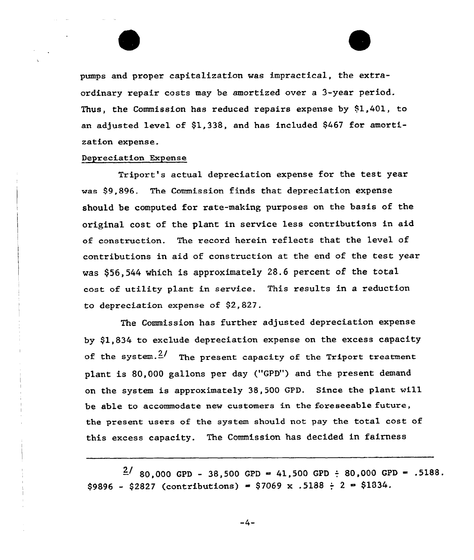

pumps and proper capitalization was impractical, the extraordinary repair costs may be amortized over a 3-year period. Thus, the Commission has reduced repairs expense by \$1,401, to an adjusted level of \$1,338, and has included \$467 for amortization expense.

#### Depreciation Expense

Triport's actual depreciation expense for the test year was \$9,896. The Commission finds that depreciation expense should be computed for rate-making purposes on the basis of the original cost of the plant in service less contributions in aid of construction. The record herein reflects that the level of contributions in aid of construction at the end of the test year was \$56,544 which is approximately 28.6 percent of the total cost of utility plant in service. This results in a reduction to depreciation expense of \$2,827.

The Commission has further adjusted depreciation expense by \$1,834 to exclude depreciation expense on the excess capacity of the system. $\frac{2}{\pi}$  The present capacity of the Triport treatment plant is 80,000 gallons per day ("GPD") and the present demand on the system is approximately 38, 500 GPD. Since the plant wi11 be able to accommodate new customers in the foreseeable future, the present users of the system should not pay the total cost of this excess capacity. The Commission has decided in fairness

 $\frac{2}{180}$ ,000 GPD - 38,500 GPD = 41,500 GPD ÷ 80,000 GPD = .5188.  $$9896 - $2827$  (contributions) = \$7069 x .5188  $\div$  2 = \$1834.

 $-4-$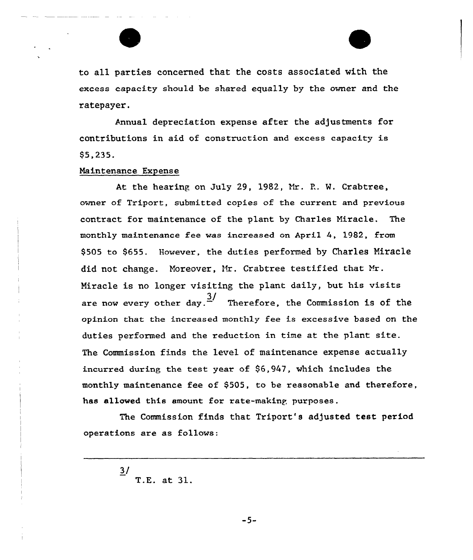

to all parties concerned that the costs associated with the excess capacity should be shared equally by the owner and the ratepayer.

Annual depreciation expense after the adjustments for contributions in aid of construction and excess capacity is 95,235.

### Maintenance Expense

At the hearing on July 29, 1982, Nr. P.. W. Crabtree, owner of Triport, submitted copies of the current and previous contract for maintenance of the plant by Charles Miracle. The monthly maintenance fee was increased on April 4, l982, from 9505 to \$655. However, the duties performed by Charles Miracle did not change. Moreover, Mr. Crabtree testified that Mr. Miracle is no longer visiting the plant daily, but his visits are now every other day. $\frac{3}{2}$  Therefore, the Commission is of the opinion that the increased monthly fee is excessive based on the duties performed and the reduction in time at the plant site. The Commission finds the level of maintenance expense actually incurred during the test year of  $$6,947$ , which includes the monthly maintenance fee of \$505, to be reasonable and therefore, has allowed this amount for rate-making purposes.

The Commission finds that Triport's adjusted test period operations are as follows:

> $\frac{3}{2}$ T.E. at 31.

> > $-5-$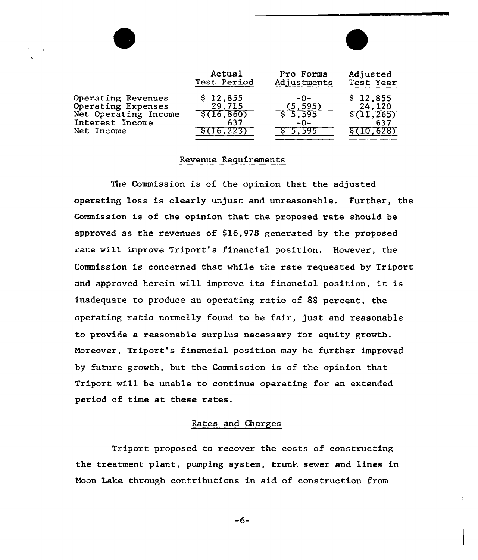|                                                                                                   | Actual<br>Test Period                              | Pro Forma<br>Adjustments              | Adjusted<br>Test Year                                |
|---------------------------------------------------------------------------------------------------|----------------------------------------------------|---------------------------------------|------------------------------------------------------|
| Operating Revenues<br>Operating Expenses<br>Net Operating Income<br>Interest Income<br>Net Income | \$12,855<br>29,715<br>\$(16, 860)<br>637<br>16.223 | $-0-$<br>(5, 595)<br>\$5.595<br>$-0-$ | \$12,855<br>24,120<br>\$(11, 265)<br>637<br>(10.628) |

#### Revenue Requirements

The Commission is of the opinion that the adjusted operating loss is clearly unjust and unreasonable. Further, the Commission is of the opinion that the proposed rate should be approved as the revenues of  $$16,978$  generated by the proposed rate will improve Triport's financial position. However, the Commission is concerned that while the rate requested by Triport and approved herein will improve its financial position, it is inadequate to produce an operating ratio of 88 percent, the operating ratio normally found to be fair, just and reasonable to provide a reasonable surplus necessary for equity growth. Moreover, Triport's financial position may be further improved by future growth, but the Commission is of the opinion that Triport will be unable to continue operating for an extended period of time at these rates.

# Rates and Charges

Triport proposed to recover the costs of constructing the treatment plant, pumping system, trunk sewer and lines in Noon Lake through contributions in aid of construction from

 $-6-$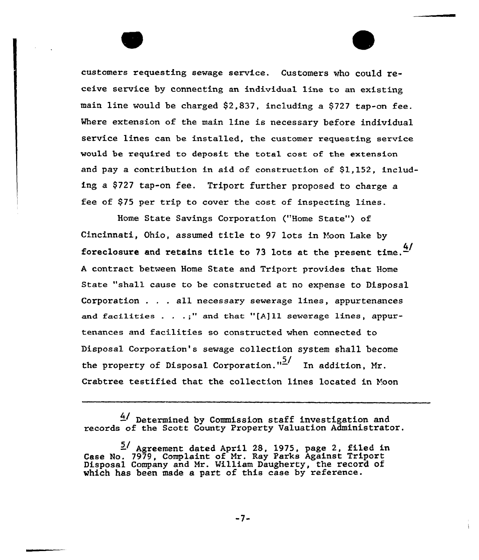customers requesting sewage service. Customers who could receive service by connecting an individual line to an existing main line would be charged \$2,837, including a \$727 tap-on fee. Where extension of the main line is necessary before individual service lines can be installed, the customer requesting service would be xequired to deposit the total cost of the extension and pay a contribution in aid of construction of \$l,152, including a \$727 tap-on fee. Triport further proposed to charge a fee of \$75 per trip to cover the cost of inspecting lines.

Home State Savings Corporation ("Home State") of Cincinnati, Ohio, assumed tit1e to 97 lots in Voon Lake by foreclosure and retains title to 73 lots at the present time.  $\frac{4}{1}$ <sup>A</sup> contract between Home State and Triport provides that Home State "shall cause to be constructed at no expense to Disposal Corporation . . . all necessary sewerage lines, appurtenances and facilities . . .;" and that "[A]ll sewerage lines, appurtenances and facilities so constructed when connected to Disposal Coxpoxation's sewage collection system sha11 become the property of Disposal Corporation." $\frac{5}{1}$  In addition, Mr. Crabtree testified that the collection lines located in Yoon

 $4/$  Determined by Commission staff investigation and records of the Scott County Property Valuation Administrato

<sup>5!</sup> Agreement dated April 28, 1975, page 2, filed in Case No. 7979, Complaint of Mr. Ray Parks Against Tripor Disposal Company and Mr. William Daugherty, the record of which has been made a part of this case by reference.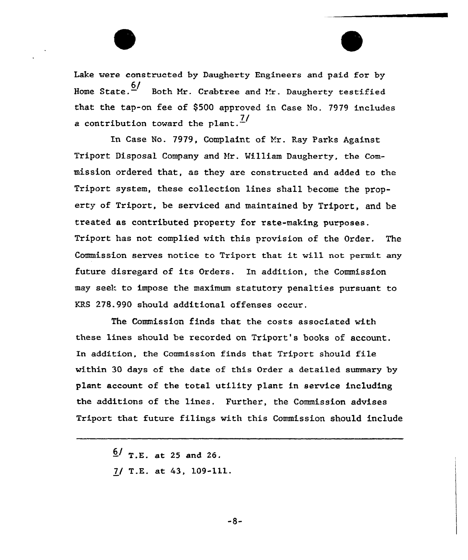Lake were constructed by Daugherty Engineers and paid for by Home State. $\frac{6/}{2}$  Both Mr. Crabtree and Mr. Daugherty testifie that the tap-on fee of \$500 approved in Case No. 7979 includes a contribution toward the plant. $\frac{7}{4}$ 

In Case No. 7979, Complaint of Mr. Ray Parks Against Triport Disposal Company and Hr. William Daugherty, the Commission ordered that, as they are constructed and added to the Triport system, these collection lines shall become the property of Triport, be serviced and maintained by Triport, and be treated as contributed property for rate-making purposes. Triport has not complied with this provision of the Order. The Commission serves notice to Triport that it will not permit any future disregard of its Orders. In addition, the Commission may seek to impose the maximum statutory penalties pursuant to KRS 278.990 should additional offenses occur.

The Commission finds that the costs associated with these lines should be recorded on Triport's books of account. In addition, the Commission finds that Triport should file within 30 days of the date of this Order a detailed summary by plant account of the total utility plant in service including the additions of the lines. Further, the Commission advises Triport that future filings with this Commission should include

> $6/$  T.E. at 25 and 26. 7/ T.E. at 43, 109-111.

> > $-8-$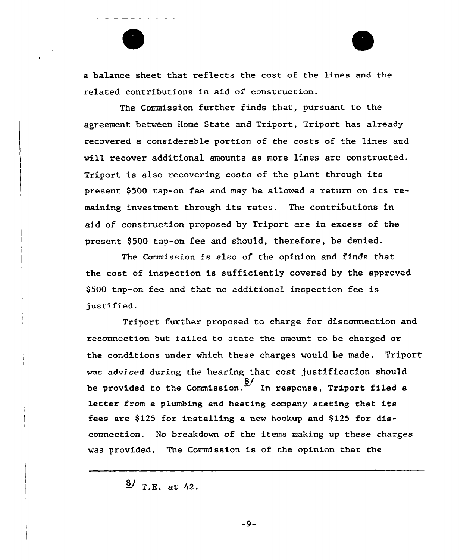

The Commission further finds that, pursuant to the agreement between Home State and Triport, Triport has already recovered a considerable portion of the costs of the lines and will recover additional amounts as more lines are constructed. Tripoxt is also recovexing costs of the plant through its present \$500 tap-on fee and may be allowed a return on its remaining investment through its rates. The contributions in aid of construction proposed by Triport are in excess of the present \$500 tap-on fee and should, therefore, be denied.

The Commission is also of the opinion and finds that the cost of inspection is sufficiently covered by the approved \$500 tap-on fee and that no additional inspection fee is justified.

Triport further proposed to charge for disconnection and reconnection but failed to state the amount to be charged or the conditions under which these charges would be made. Triport was advised during the hearing that cost Justification should be provided to the Commission.  $\frac{8}{1}$  In response, Triport filed a letter from a plumbing and heating company stating that its fees are  $$125$  for installing a new hookup and  $$125$  for disconnection. No breakdown of the items making up these charges was provided. The Commission is of the opinion that the

 $\frac{8}{7}$  T.E. at 42.

 $-9-$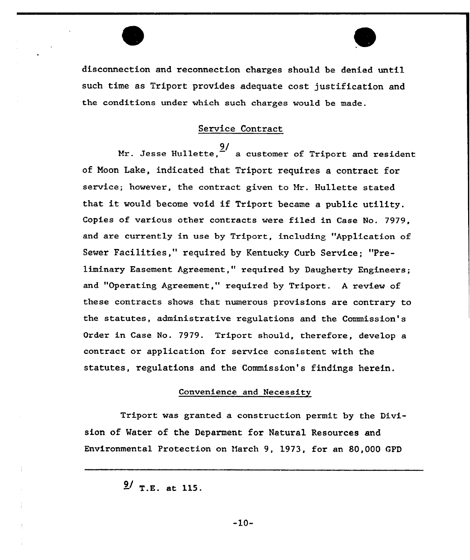

# Service Contract

Mr. Jesse Hullette,  $\frac{9}{2}$  a customer of Triport and resident of Noon Lake, indicated that Tripart requires a contract for service; however, the contract given to Hr. Hullette stated that it would become void if Triport became <sup>a</sup> public utility. Copies of vaxious other contracts wexe filed in Case No. 7979, and are currently in use by Triport, including "Application of Sewer Facilities," required by Kentucky Curb Service; "Preliminary Easement Agreement," required by Daugherty Engineers; and "Operating Agreement," required by Triport. A review of these contracts shows that numerous provisions are contrary to the statutes, administrative regulations and the Commission's Order in Case No. 7979. Triport should, therefore, develop a contract or application for service consistent with the statutes, regulations and the Commission's findings herein.

# Convenience and Necessity

Triport was granted a construction permit by the Division of Mater of the Deparment for Natural Resources and Environmental Protection on March 9, 1973, for an 80,000 GPD

 $\frac{9}{7}$ .E. at 115.

 $-10-$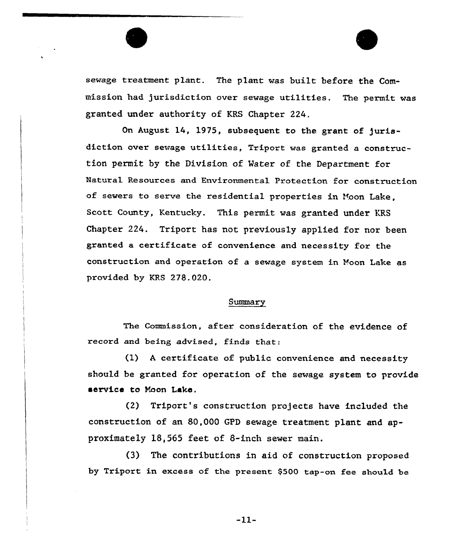sewage treatment plant. The plant was built before the Commission had jurisdiction over sewage utilities. The permit was granted under authority of KRS Chapter 224.

On August 14, 1975, subsequent to the grant of jurisdiction over sewage utilities, Triport was granted a construction permit by the Division of Mater of the Department for Natuxal Resources and Environmental protection for construction of sewers to serve the residential properties in Hoon Lake, Scott County, Kentucky. This permit was granted under KRS Chapter 224. Triport has not previously applied for nor been granted a certificate of convenience and necessity for the construction and operation of a sewage system in Noon Lake as provided by KRS 278.020.

#### Summary

The Commission, after consideration of the evidence of record and being advised, finds that:

(1) <sup>A</sup> certificate of public convenience and necessity should be granted for operation of the sewage system to provide service to Naon Laka.

(2) Tripoxt's construction projects have included the construction of an 80,000 GPD sewage treatment plant and approximately 18,565 feet of 8-inch sewer main.

(3) The contributions in aid of construction proposed by Triport in excess of the present \$500 tap-on fee should be

 $-11-$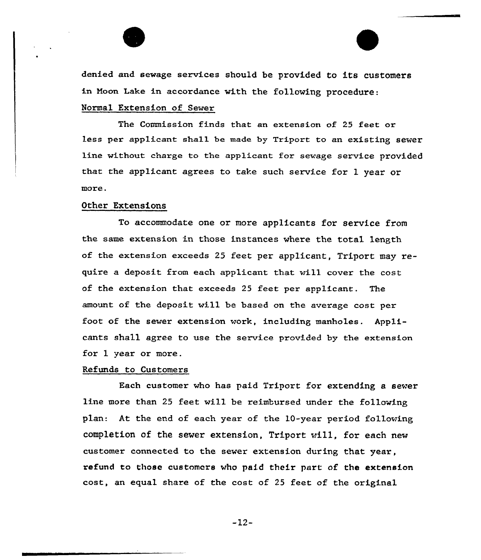

denied and sewage services should be provided to its customers in Noon Lake in accordance with the following procedure: Normal Extension of Sewer

The Commission finds that an extension of 25 feet or less per applicant shall be made by Triport to an existing sewer line without charge to the applicant for sewage service provided that the applicant agrees to take such service for 1 year or more.

## Other Extensions

To accommodate one or more applicants for service from the same extension in those instances where the total length of the extension exceeds 25 feet per applicant, Triport may require a deposit from each applicant that will cover the cost of the extension that exceeds 25 feet per applicant. The amount of the deposit will be based on the average cost per foot of the sewer extension work, including manholes. Applicants shall agree to use the service provided by the extension for 1 year or more.

### Refunds to Customers

Each customer who has paid Tripart for extending a sever line more than 25 feet will be reimbursed under the following plan: At the end of each year of the 10-year period following completion of the sewer extension, Triport will, for each new customer connected to the sewer extension during that year, refund to those customers who paid their part of the extension cost, an equal share of the cost of 25 feet of the original

-12-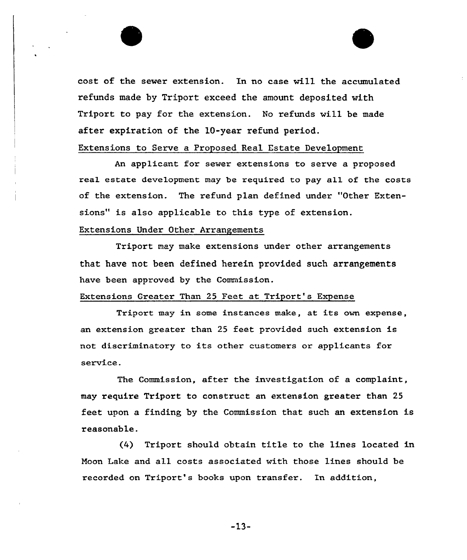cost of the sewer extension. In no case will the accumulated refunds made by Triport exceed the amount deposited with Triport to pay for the extension. No refunds will be made after expiration of the 10-year refund period.

# Extensions to Serve a Proposed Real Estate Development

An applicant for sewer extensions to serve a proposed real estate development may be required to pay all of the costs of the extension. The refund plan defined under "Other Extensions" is also applicable to this type of extension.

# Extensions Under Other Arrangements

Triport may make extensions under other arrangements that have not been defined herein provided such arrangements have been approved by the Commission.

# Extensions Greater Than 25 Feet at Triport's Expense

Triport may in some instances make, at its own expense, an extension greater than 25 feet provided such extension is not discriminatory to its other customers or applicants for service.

The Commission, after the investigation of a complaint, may require Trlport to construct an extension greater than 25 feet upon a finding by the Commission that such an extension is reasonable.

(4) Triport should obtain title to the lines located in Noon Lake and all costs associated with those lines should be recorded on Triport's books upon transfer. In addition,

 $-13-$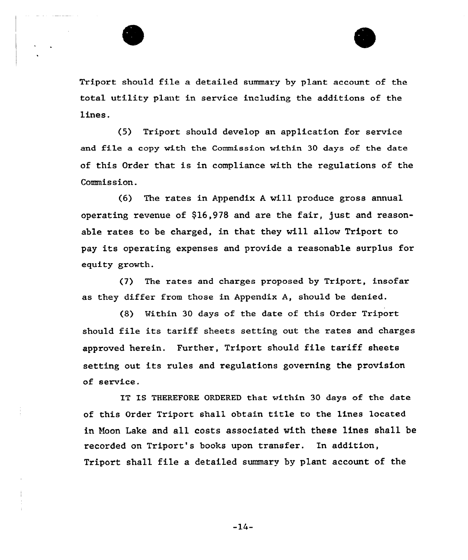



Triport should file a detailed summary by plant account of the total utility plant in service including the additions of the lines.

(5) Triport should develop an application for service and file a copy with the Commission within 30 days of the date of this Order that is in compliance with the regulations of the Commission.

(6) The rates in Appendix <sup>A</sup> will produce gross annual operating revenue of \$16,978 and are the fair, just and reasonable rates to be charged, in that they will allow Triport to pay its operating expenses and provide a reasonable surplus for equity growth.

(7) The rates and charges proposed by Triport, insofar as they differ from those in Appendix A, should be denied.

(8) Within 30 days of the date of this Order Triport should file its tariff sheets setting out the rates and charges approved herein. Further, Triport should file tariff sheets setting out its rules and regulations governing the provision of servt.ce.

IT IS THEREFORE ORDERED that within 30 days of the date of this Order Triport shall obtain title to the lines located in hoon Lake and all costs associated with these lines shall be recorded on Triport's books upon transfer. In addition, Triport shall file a detailed summary by plant account of the

 $-14-$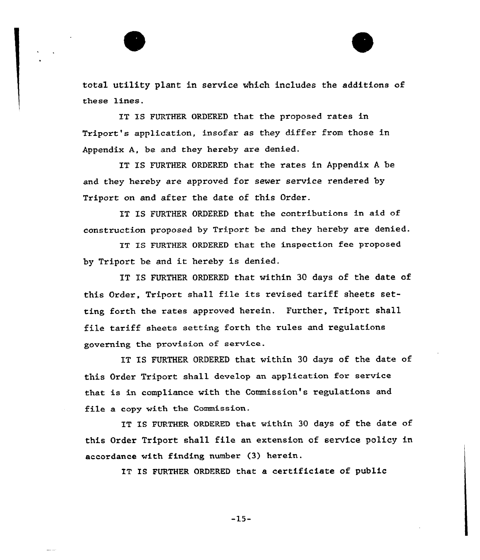total utility plant in service which includes the additions of these lines.

IT IS FURTHER ORDERED that the proposed rates in Triport's application, insofar as they differ from those in Appendix A, be and they hereby are denied.

IT IS FURTHER ORDERED that the rates in Appendix <sup>A</sup> be and they hereby are approved for sewer service rendered by Triport on and after the date of this Order.

IT IS FURTHER ORDERED that the contributions in aid of construction proposed by Triport be and they hereby are denied.

IT IS FURTHER ORDERED that the inspection fee proposed by Triport be and it hereby is denied.

IT IS FURTHER ORDERED that within 30 days of the date of this Order, Triport shall file its revised tariff sheets setting forth the rates approved herein. Further, Triport shall file tariff sheets setting forth the rules and regulations governing the provision of service.

IT IS FURTHER ORDERED that within 30 days of the date of this Order Triport shall develop an application for service that is in compliance with the Commission's regulations and file a copy with the Commission.

IT IS FURTHER ORDERED that within 30 days of the date of this Order Triport shall file an extension of service policy in accordance with finding number (3) herein.

IT IS FURTHER ORDERED that a certificiate of public

 $-15-$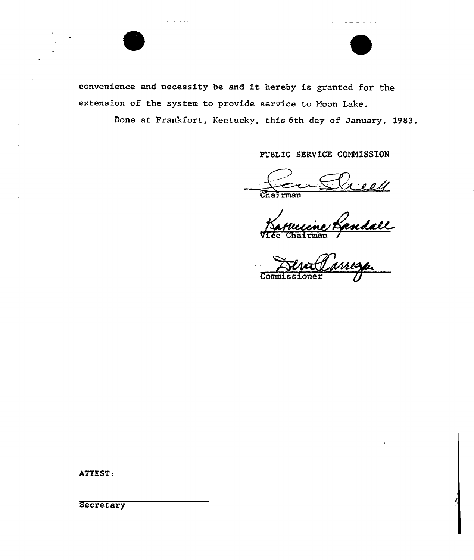

convenience and necessity be and it hereby is granted for the extension of the system to provide service to Moon Lake.

Done at Frankfort, Kentucky, this 6th day of January, 1983.

PUBLIC SERVICE COMMISSION

للمواصب المصطلحات والأدارة

Chairman

Vice Chairman /

Commissione

ATTEST:

**Secretary**